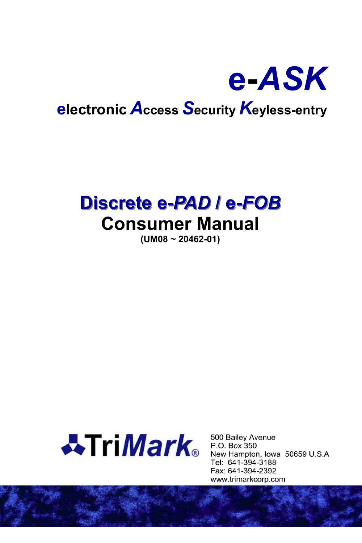

# Discrete e-PAD / e-FOB **Consumer Manual**

 $(UM08 - 20462 - 01)$ 



500 Bailey Avenue P.O. Box 350 New Hampton, Iowa 50659 U.S.A. Tel: 641-394-3188 Fax: 641-394-2392 www.trimarkcorp.com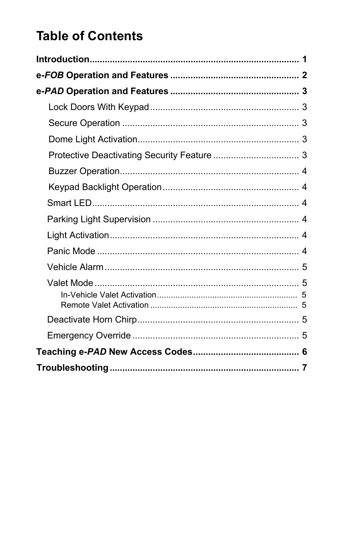# **Table of Contents**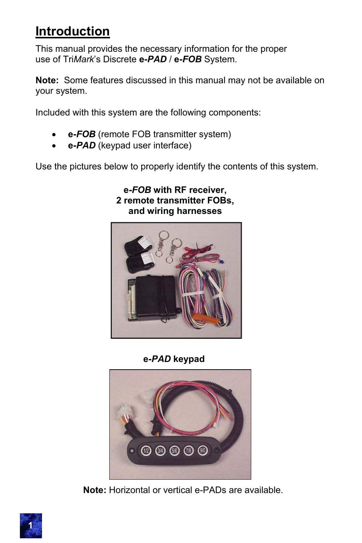# **Introduction**

This manual provides the necessary information for the proper use of Tri*Mark*'s Discrete **e-***PAD* / **e-***FOB* System.

**Note:** Some features discussed in this manual may not be available on your system.

Included with this system are the following components:

- **e-***FOB* (remote FOB transmitter system)
- **e-***PAD* (keypad user interface)

Use the pictures below to properly identify the contents of this system.

#### **e-***FOB* **with RF receiver, 2 remote transmitter FOBs, and wiring harnesses**



**e-***PAD* **keypad**



**Note:** Horizontal or vertical e-PADs are available.

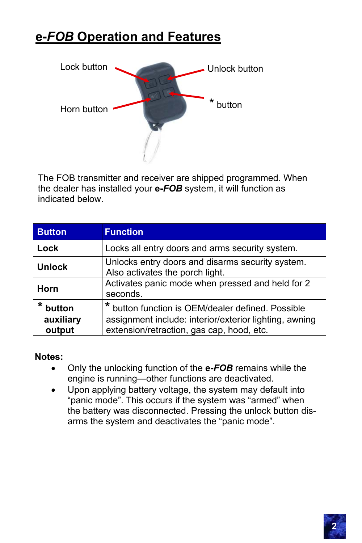# **e-***FOB* **Operation and Features**



The FOB transmitter and receiver are shipped programmed. When the dealer has installed your **e-***FOB* system, it will function as indicated below.

| <b>Button</b>                            | <b>Function</b>                                                                                                                                          |  |
|------------------------------------------|----------------------------------------------------------------------------------------------------------------------------------------------------------|--|
| Lock                                     | Locks all entry doors and arms security system.                                                                                                          |  |
| <b>Unlock</b>                            | Unlocks entry doors and disarms security system.<br>Also activates the porch light.                                                                      |  |
| Horn                                     | Activates panic mode when pressed and held for 2<br>seconds.                                                                                             |  |
| $\star$<br>button<br>auxiliary<br>output | * button function is OEM/dealer defined. Possible<br>assignment include: interior/exterior lighting, awning<br>extension/retraction, gas cap, hood, etc. |  |

#### **Notes:**

- Only the unlocking function of the **e-***FOB* remains while the engine is running—other functions are deactivated.
- Upon applying battery voltage, the system may default into "panic mode". This occurs if the system was "armed" when the battery was disconnected. Pressing the unlock button disarms the system and deactivates the "panic mode".

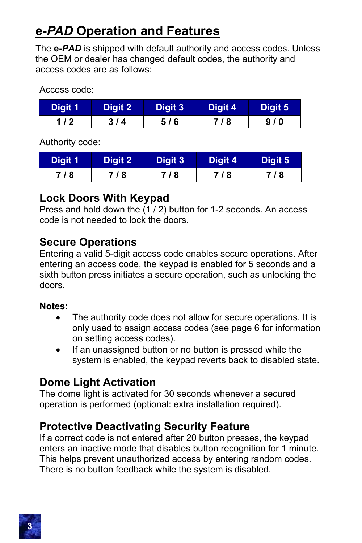## **e-***PAD* **Operation and Features**

The **e-***PAD* is shipped with default authority and access codes. Unless the OEM or dealer has changed default codes, the authority and access codes are as follows:

Access code:

| Digit 1 | Digit 2 | Digit 3 | Digit 4 | Digit 5 |
|---------|---------|---------|---------|---------|
| 1 / 2   | 3/4     | 5/6     | 718     | 9/0     |

Authority code:

| Digit 1 | Digit 2 | Digit 3 | Digit 4 | Digit 5 |
|---------|---------|---------|---------|---------|
| 7/8     | 7/8     | 718     | 718     | 7/8     |

### **Lock Doors With Keypad**

Press and hold down the  $(1 / 2)$  button for 1-2 seconds. An access code is not needed to lock the doors.

### **Secure Operations**

Entering a valid 5-digit access code enables secure operations. After entering an access code, the keypad is enabled for 5 seconds and a sixth button press initiates a secure operation, such as unlocking the doors.

#### **Notes:**

- The authority code does not allow for secure operations. It is only used to assign access codes (see page 6 for information on setting access codes).
- If an unassigned button or no button is pressed while the system is enabled, the keypad reverts back to disabled state.

### **Dome Light Activation**

The dome light is activated for 30 seconds whenever a secured operation is performed (optional: extra installation required).

### **Protective Deactivating Security Feature**

If a correct code is not entered after 20 button presses, the keypad enters an inactive mode that disables button recognition for 1 minute. This helps prevent unauthorized access by entering random codes. There is no button feedback while the system is disabled.

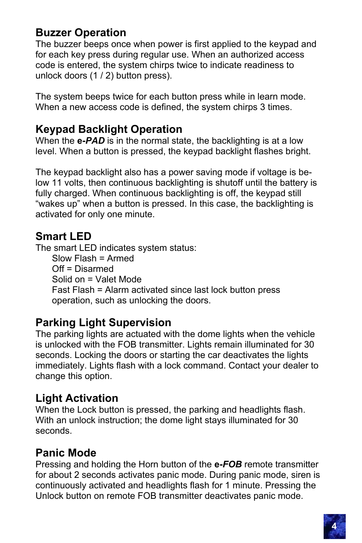#### **Buzzer Operation**

The buzzer beeps once when power is first applied to the keypad and for each key press during regular use. When an authorized access code is entered, the system chirps twice to indicate readiness to unlock doors (1 / 2) button press).

The system beeps twice for each button press while in learn mode. When a new access code is defined, the system chirps 3 times.

#### **Keypad Backlight Operation**

When the **e-***PAD* is in the normal state, the backlighting is at a low level. When a button is pressed, the keypad backlight flashes bright.

The keypad backlight also has a power saving mode if voltage is below 11 volts, then continuous backlighting is shutoff until the battery is fully charged. When continuous backlighting is off, the keypad still "wakes up" when a button is pressed. In this case, the backlighting is activated for only one minute.

#### **Smart LED**

The smart LED indicates system status: Slow Flash = Armed Off = Disarmed Solid on = Valet Mode Fast Flash = Alarm activated since last lock button press operation, such as unlocking the doors.

### **Parking Light Supervision**

The parking lights are actuated with the dome lights when the vehicle is unlocked with the FOB transmitter. Lights remain illuminated for 30 seconds. Locking the doors or starting the car deactivates the lights immediately. Lights flash with a lock command. Contact your dealer to change this option.

#### **Light Activation**

When the Lock button is pressed, the parking and headlights flash. With an unlock instruction; the dome light stays illuminated for 30 seconds.

### **Panic Mode**

Pressing and holding the Horn button of the **e-***FOB* remote transmitter for about 2 seconds activates panic mode. During panic mode, siren is continuously activated and headlights flash for 1 minute. Pressing the Unlock button on remote FOB transmitter deactivates panic mode.

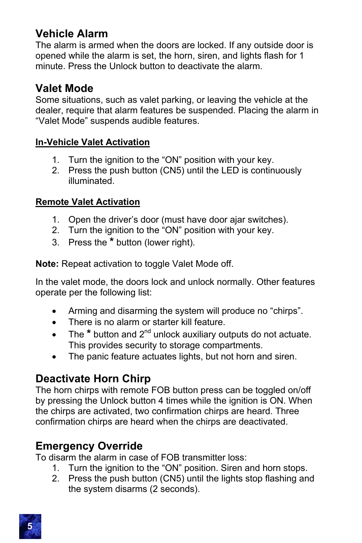#### **Vehicle Alarm**

The alarm is armed when the doors are locked. If any outside door is opened while the alarm is set, the horn, siren, and lights flash for 1 minute. Press the Unlock button to deactivate the alarm.

### **Valet Mode**

Some situations, such as valet parking, or leaving the vehicle at the dealer, require that alarm features be suspended. Placing the alarm in "Valet Mode" suspends audible features.

#### **In-Vehicle Valet Activation**

- 1. Turn the ignition to the "ON" position with your key.
- 2. Press the push button (CN5) until the LED is continuously illuminated.

#### **Remote Valet Activation**

- 1. Open the driver's door (must have door ajar switches).
- 2. Turn the ignition to the "ON" position with your key.
- 3. Press the **\*** button (lower right).

**Note:** Repeat activation to toggle Valet Mode off.

In the valet mode, the doors lock and unlock normally. Other features operate per the following list:

- Arming and disarming the system will produce no "chirps".
- There is no alarm or starter kill feature.
- The \* button and 2<sup>nd</sup> unlock auxiliary outputs do not actuate. This provides security to storage compartments.
- The panic feature actuates lights, but not horn and siren.

### **Deactivate Horn Chirp**

The horn chirps with remote FOB button press can be toggled on/off by pressing the Unlock button 4 times while the ignition is ON. When the chirps are activated, two confirmation chirps are heard. Three confirmation chirps are heard when the chirps are deactivated.

### **Emergency Override**

To disarm the alarm in case of FOB transmitter loss:

- 1. Turn the ignition to the "ON" position. Siren and horn stops.
- 2. Press the push button (CN5) until the lights stop flashing and the system disarms (2 seconds).

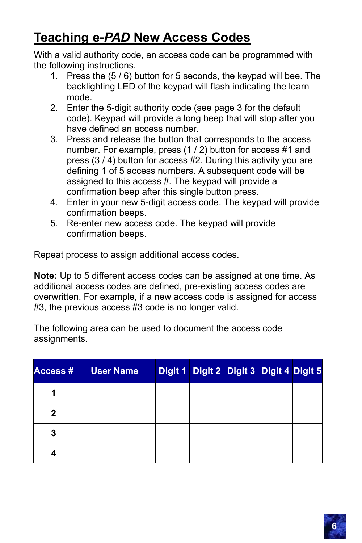## **Teaching e-***PAD* **New Access Codes**

With a valid authority code, an access code can be programmed with the following instructions.

- 1. Press the (5 / 6) button for 5 seconds, the keypad will bee. The backlighting LED of the keypad will flash indicating the learn mode.
- 2. Enter the 5-digit authority code (see page 3 for the default code). Keypad will provide a long beep that will stop after you have defined an access number.
- 3. Press and release the button that corresponds to the access number. For example, press (1 / 2) button for access #1 and press (3 / 4) button for access #2. During this activity you are defining 1 of 5 access numbers. A subsequent code will be assigned to this access #. The keypad will provide a confirmation beep after this single button press.
- 4. Enter in your new 5-digit access code. The keypad will provide confirmation beeps.
- 5. Re-enter new access code. The keypad will provide confirmation beeps.

Repeat process to assign additional access codes.

**Note:** Up to 5 different access codes can be assigned at one time. As additional access codes are defined, pre-existing access codes are overwritten. For example, if a new access code is assigned for access #3, the previous access #3 code is no longer valid.

The following area can be used to document the access code assignments.

| <b>Access#</b> | <b>User Name</b> | Digit 1 Digit 2 Digit 3 Digit 4 Digit 5 |  |  |
|----------------|------------------|-----------------------------------------|--|--|
|                |                  |                                         |  |  |
| 2              |                  |                                         |  |  |
| 3              |                  |                                         |  |  |
|                |                  |                                         |  |  |

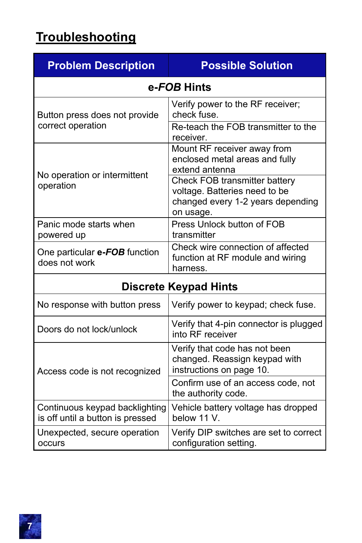# **Troubleshooting**

| <b>Problem Description</b>                                         | <b>Possible Solution</b>                                                                                         |  |  |  |
|--------------------------------------------------------------------|------------------------------------------------------------------------------------------------------------------|--|--|--|
|                                                                    | e-FOB Hints                                                                                                      |  |  |  |
| Button press does not provide<br>correct operation                 | Verify power to the RF receiver;<br>check fuse.<br>Re-teach the FOB transmitter to the                           |  |  |  |
|                                                                    | receiver.                                                                                                        |  |  |  |
|                                                                    | Mount RF receiver away from<br>enclosed metal areas and fully<br>extend antenna                                  |  |  |  |
| No operation or intermittent<br>operation                          | Check FOB transmitter battery<br>voltage. Batteries need to be<br>changed every 1-2 years depending<br>on usage. |  |  |  |
| Panic mode starts when<br>powered up                               | Press Unlock button of FOB<br>transmitter                                                                        |  |  |  |
| One particular e-FOB function<br>does not work                     | Check wire connection of affected<br>function at RF module and wiring<br>harness.                                |  |  |  |
| <b>Discrete Keypad Hints</b>                                       |                                                                                                                  |  |  |  |
| No response with button press                                      | Verify power to keypad; check fuse.                                                                              |  |  |  |
| Doors do not lock/unlock                                           | Verify that 4-pin connector is plugged<br>into RF receiver                                                       |  |  |  |
| Access code is not recognized                                      | Verify that code has not been<br>changed. Reassign keypad with<br>instructions on page 10.                       |  |  |  |
|                                                                    | Confirm use of an access code, not<br>the authority code.                                                        |  |  |  |
| Continuous keypad backlighting<br>is off until a button is pressed | Vehicle battery voltage has dropped<br>below 11 V.                                                               |  |  |  |
| Unexpected, secure operation<br>occurs                             | Verify DIP switches are set to correct<br>configuration setting.                                                 |  |  |  |

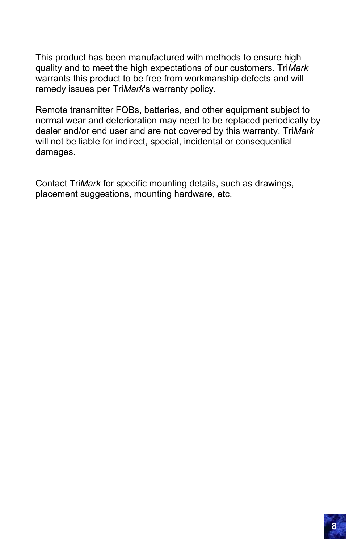This product has been manufactured with methods to ensure high quality and to meet the high expectations of our customers. Tri*Mark* warrants this product to be free from workmanship defects and will remedy issues per Tri*Mark*'s warranty policy.

Remote transmitter FOBs, batteries, and other equipment subject to normal wear and deterioration may need to be replaced periodically by dealer and/or end user and are not covered by this warranty. Tri*Mark* will not be liable for indirect, special, incidental or consequential damages.

Contact Tri*Mark* for specific mounting details, such as drawings, placement suggestions, mounting hardware, etc.